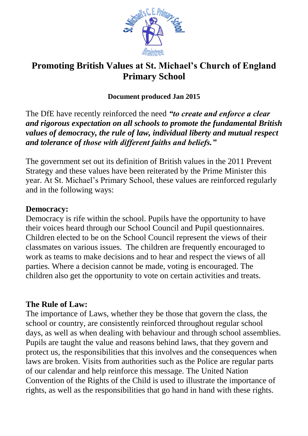

# **Promoting British Values at St. Michael's Church of England Primary School**

#### **Document produced Jan 2015**

The DfE have recently reinforced the need *"to create and enforce a clear and rigorous expectation on all schools to promote the fundamental British values of democracy, the rule of law, individual liberty and mutual respect and tolerance of those with different faiths and beliefs."* 

The government set out its definition of British values in the 2011 Prevent Strategy and these values have been reiterated by the Prime Minister this year. At St. Michael's Primary School, these values are reinforced regularly and in the following ways:

#### **Democracy:**

Democracy is rife within the school. Pupils have the opportunity to have their voices heard through our School Council and Pupil questionnaires. Children elected to be on the School Council represent the views of their classmates on various issues. The children are frequently encouraged to work as teams to make decisions and to hear and respect the views of all parties. Where a decision cannot be made, voting is encouraged. The children also get the opportunity to vote on certain activities and treats.

## **The Rule of Law:**

The importance of Laws, whether they be those that govern the class, the school or country, are consistently reinforced throughout regular school days, as well as when dealing with behaviour and through school assemblies. Pupils are taught the value and reasons behind laws, that they govern and protect us, the responsibilities that this involves and the consequences when laws are broken. Visits from authorities such as the Police are regular parts of our calendar and help reinforce this message. The United Nation Convention of the Rights of the Child is used to illustrate the importance of rights, as well as the responsibilities that go hand in hand with these rights.